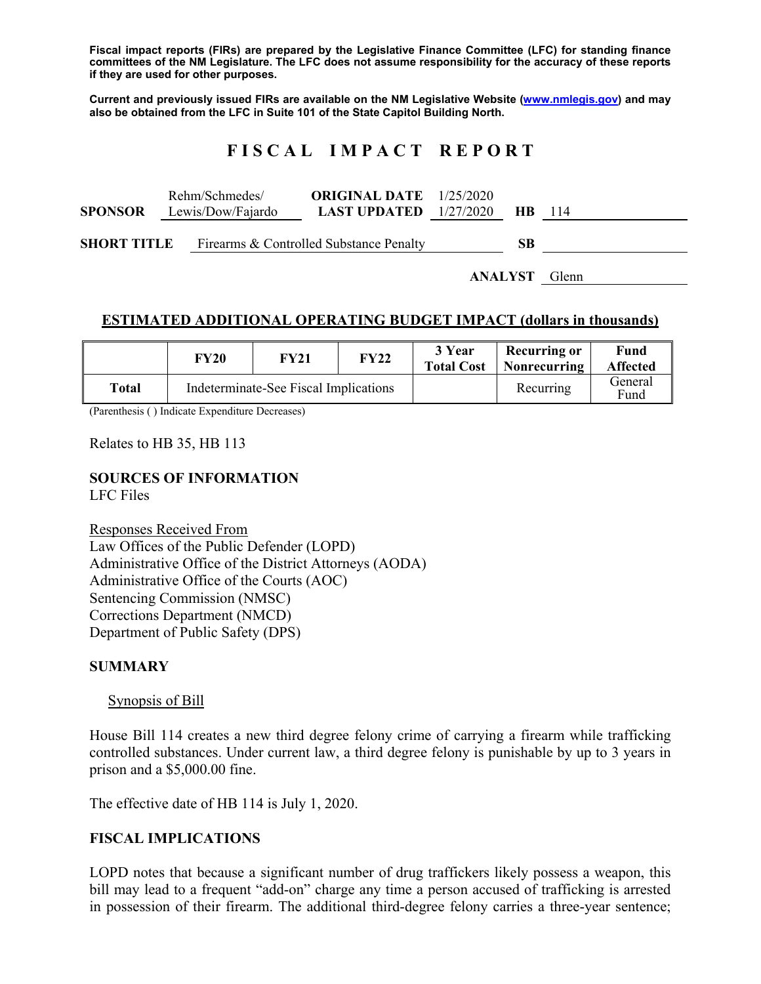**Fiscal impact reports (FIRs) are prepared by the Legislative Finance Committee (LFC) for standing finance committees of the NM Legislature. The LFC does not assume responsibility for the accuracy of these reports if they are used for other purposes.** 

**Current and previously issued FIRs are available on the NM Legislative Website (www.nmlegis.gov) and may also be obtained from the LFC in Suite 101 of the State Capitol Building North.** 

## **F I S C A L I M P A C T R E P O R T**

|                    |                   | Rehm/Schmedes/                          | <b>ORIGINAL DATE</b> $1/25/2020$ |  |           |    |
|--------------------|-------------------|-----------------------------------------|----------------------------------|--|-----------|----|
| <b>SPONSOR</b>     | Lewis/Dow/Fajardo |                                         | <b>LAST UPDATED</b> $1/27/2020$  |  | <b>HB</b> | 14 |
|                    |                   |                                         |                                  |  |           |    |
| <b>SHORT TITLE</b> |                   | Firearms & Controlled Substance Penalty |                                  |  | <b>SB</b> |    |

**ANALYST** Glenn

### **ESTIMATED ADDITIONAL OPERATING BUDGET IMPACT (dollars in thousands)**

|       | FY20 | <b>FY21</b>                           | <b>FY22</b> | 3 Year<br><b>Total Cost</b> | <b>Recurring or</b><br>Nonrecurring | Fund<br><b>Affected</b> |
|-------|------|---------------------------------------|-------------|-----------------------------|-------------------------------------|-------------------------|
| Total |      | Indeterminate-See Fiscal Implications |             |                             | Recurring                           | General<br>Fund         |

(Parenthesis ( ) Indicate Expenditure Decreases)

Relates to HB 35, HB 113

#### **SOURCES OF INFORMATION**

LFC Files

Responses Received From Law Offices of the Public Defender (LOPD) Administrative Office of the District Attorneys (AODA) Administrative Office of the Courts (AOC) Sentencing Commission (NMSC) Corrections Department (NMCD) Department of Public Safety (DPS)

#### **SUMMARY**

#### Synopsis of Bill

House Bill 114 creates a new third degree felony crime of carrying a firearm while trafficking controlled substances. Under current law, a third degree felony is punishable by up to 3 years in prison and a \$5,000.00 fine.

The effective date of HB 114 is July 1, 2020.

#### **FISCAL IMPLICATIONS**

LOPD notes that because a significant number of drug traffickers likely possess a weapon, this bill may lead to a frequent "add-on" charge any time a person accused of trafficking is arrested in possession of their firearm. The additional third-degree felony carries a three-year sentence;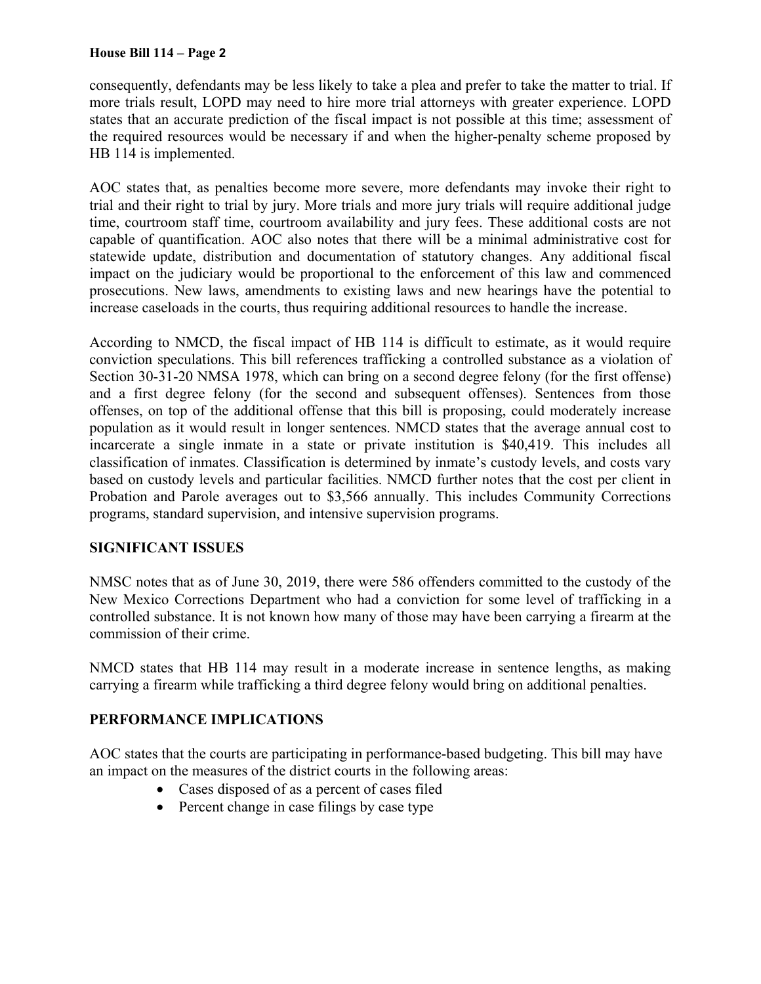#### **House Bill 114 – Page 2**

consequently, defendants may be less likely to take a plea and prefer to take the matter to trial. If more trials result, LOPD may need to hire more trial attorneys with greater experience. LOPD states that an accurate prediction of the fiscal impact is not possible at this time; assessment of the required resources would be necessary if and when the higher-penalty scheme proposed by HB 114 is implemented.

AOC states that, as penalties become more severe, more defendants may invoke their right to trial and their right to trial by jury. More trials and more jury trials will require additional judge time, courtroom staff time, courtroom availability and jury fees. These additional costs are not capable of quantification. AOC also notes that there will be a minimal administrative cost for statewide update, distribution and documentation of statutory changes. Any additional fiscal impact on the judiciary would be proportional to the enforcement of this law and commenced prosecutions. New laws, amendments to existing laws and new hearings have the potential to increase caseloads in the courts, thus requiring additional resources to handle the increase.

According to NMCD, the fiscal impact of HB 114 is difficult to estimate, as it would require conviction speculations. This bill references trafficking a controlled substance as a violation of Section 30-31-20 NMSA 1978, which can bring on a second degree felony (for the first offense) and a first degree felony (for the second and subsequent offenses). Sentences from those offenses, on top of the additional offense that this bill is proposing, could moderately increase population as it would result in longer sentences. NMCD states that the average annual cost to incarcerate a single inmate in a state or private institution is \$40,419. This includes all classification of inmates. Classification is determined by inmate's custody levels, and costs vary based on custody levels and particular facilities. NMCD further notes that the cost per client in Probation and Parole averages out to \$3,566 annually. This includes Community Corrections programs, standard supervision, and intensive supervision programs.

## **SIGNIFICANT ISSUES**

NMSC notes that as of June 30, 2019, there were 586 offenders committed to the custody of the New Mexico Corrections Department who had a conviction for some level of trafficking in a controlled substance. It is not known how many of those may have been carrying a firearm at the commission of their crime.

NMCD states that HB 114 may result in a moderate increase in sentence lengths, as making carrying a firearm while trafficking a third degree felony would bring on additional penalties.

## **PERFORMANCE IMPLICATIONS**

AOC states that the courts are participating in performance-based budgeting. This bill may have an impact on the measures of the district courts in the following areas:

- Cases disposed of as a percent of cases filed
- Percent change in case filings by case type